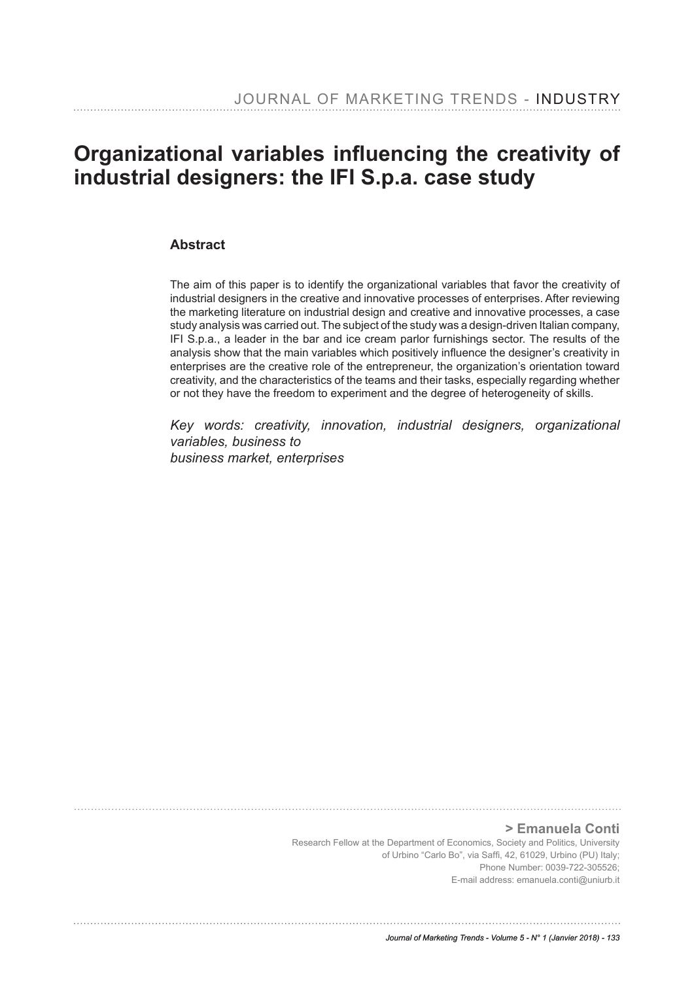# **Organizational variables infuencing the creativity of industrial designers: the IFI S.p.a. case study**

## **Abstract**

The aim of this paper is to identify the organizational variables that favor the creativity of industrial designers in the creative and innovative processes of enterprises. After reviewing the marketing literature on industrial design and creative and innovative processes, a case study analysis was carried out. The subject of the study was a design-driven Italian company, IFI S.p.a., a leader in the bar and ice cream parlor furnishings sector. The results of the analysis show that the main variables which positively infuence the designer's creativity in enterprises are the creative role of the entrepreneur, the organization's orientation toward creativity, and the characteristics of the teams and their tasks, especially regarding whether or not they have the freedom to experiment and the degree of heterogeneity of skills.

*Key words: creativity, innovation, industrial designers, organizational variables, business to business market, enterprises*

**> Emanuela Conti**

Research Fellow at the Department of Economics, Society and Politics, University of Urbino "Carlo Bo", via Saff, 42, 61029, Urbino (PU) Italy; Phone Number: 0039-722-305526; E-mail address: emanuela.conti@uniurb.it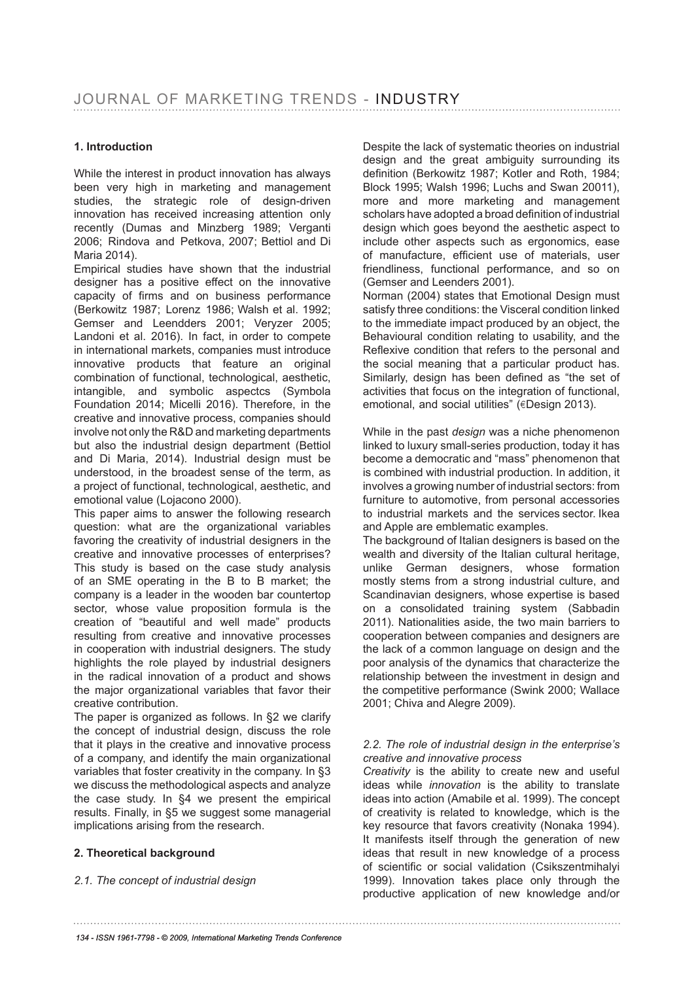### **1. Introduction**

While the interest in product innovation has always been very high in marketing and management studies, the strategic role of design-driven innovation has received increasing attention only recently (Dumas and Minzberg 1989; Verganti 2006; Rindova and Petkova, 2007; Bettiol and Di Maria 2014).

Empirical studies have shown that the industrial designer has a positive effect on the innovative capacity of frms and on business performance (Berkowitz 1987; Lorenz 1986; Walsh et al. 1992; Gemser and Leendders 2001; Veryzer 2005; Landoni et al. 2016). In fact, in order to compete in international markets, companies must introduce innovative products that feature an original combination of functional, technological, aesthetic, intangible, and symbolic aspectcs (Symbola Foundation 2014; Micelli 2016). Therefore, in the creative and innovative process, companies should involve not only the R&D and marketing departments but also the industrial design department (Bettiol and Di Maria, 2014). Industrial design must be understood, in the broadest sense of the term, as a project of functional, technological, aesthetic, and emotional value (Lojacono 2000).

This paper aims to answer the following research question: what are the organizational variables favoring the creativity of industrial designers in the creative and innovative processes of enterprises? This study is based on the case study analysis of an SME operating in the B to B market; the company is a leader in the wooden bar countertop sector, whose value proposition formula is the creation of "beautiful and well made" products resulting from creative and innovative processes in cooperation with industrial designers. The study highlights the role played by industrial designers in the radical innovation of a product and shows the major organizational variables that favor their creative contribution.

The paper is organized as follows. In §2 we clarify the concept of industrial design, discuss the role that it plays in the creative and innovative process of a company, and identify the main organizational variables that foster creativity in the company. In §3 we discuss the methodological aspects and analyze the case study. In §4 we present the empirical results. Finally, in §5 we suggest some managerial implications arising from the research.

#### **2. Theoretical background**

#### *2.1. The concept of industrial design*

Despite the lack of systematic theories on industrial design and the great ambiguity surrounding its defnition (Berkowitz 1987; Kotler and Roth, 1984; Block 1995; Walsh 1996; Luchs and Swan 20011), more and more marketing and management scholars have adopted a broad defnition of industrial design which goes beyond the aesthetic aspect to include other aspects such as ergonomics, ease of manufacture, efficient use of materials, user friendliness, functional performance, and so on (Gemser and Leenders 2001).

Norman (2004) states that Emotional Design must satisfy three conditions: the Visceral condition linked to the immediate impact produced by an object, the Behavioural condition relating to usability, and the Reflexive condition that refers to the personal and the social meaning that a particular product has. Similarly, design has been defned as "the set of activities that focus on the integration of functional, emotional, and social utilities" (€Design 2013).

While in the past *design* was a niche phenomenon linked to luxury small-series production, today it has become a democratic and "mass" phenomenon that is combined with industrial production. In addition, it involves a growing number of industrial sectors: from furniture to automotive, from personal accessories to industrial markets and the services sector. Ikea and Apple are emblematic examples.

The background of Italian designers is based on the wealth and diversity of the Italian cultural heritage, unlike German designers, whose formation mostly stems from a strong industrial culture, and Scandinavian designers, whose expertise is based on a consolidated training system (Sabbadin 2011). Nationalities aside, the two main barriers to cooperation between companies and designers are the lack of a common language on design and the poor analysis of the dynamics that characterize the relationship between the investment in design and the competitive performance (Swink 2000; Wallace 2001; Chiva and Alegre 2009).

#### *2.2. The role of industrial design in the enterprise's creative and innovative process*

*Creativity* is the ability to create new and useful ideas while *innovation* is the ability to translate ideas into action (Amabile et al. 1999). The concept of creativity is related to knowledge, which is the key resource that favors creativity (Nonaka 1994). It manifests itself through the generation of new ideas that result in new knowledge of a process of scientific or social validation (Csikszentmihalyi 1999). Innovation takes place only through the productive application of new knowledge and/or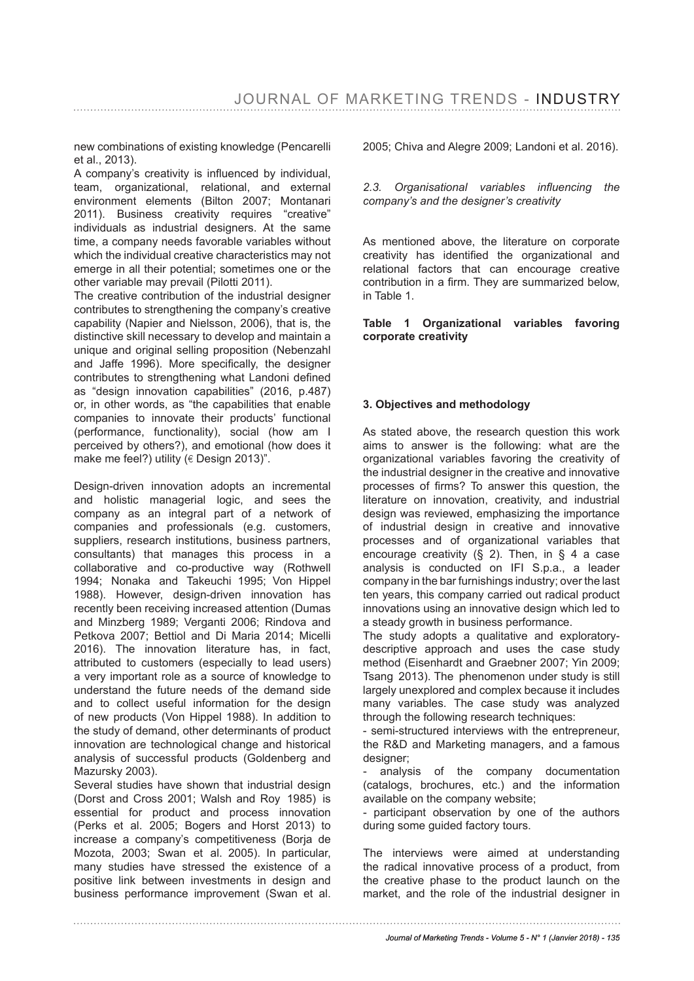new combinations of existing knowledge (Pencarelli et al., 2013).

A company's creativity is infuenced by individual, team, organizational, relational, and external environment elements (Bilton 2007; Montanari 2011). Business creativity requires "creative" individuals as industrial designers. At the same time, a company needs favorable variables without which the individual creative characteristics may not emerge in all their potential; sometimes one or the other variable may prevail (Pilotti 2011).

The creative contribution of the industrial designer contributes to strengthening the company's creative capability (Napier and Nielsson, 2006), that is, the distinctive skill necessary to develop and maintain a unique and original selling proposition (Nebenzahl and Jaffe 1996). More specifcally, the designer contributes to strengthening what Landoni defned as "design innovation capabilities" (2016, p.487) or, in other words, as "the capabilities that enable companies to innovate their products' functional (performance, functionality), social (how am I perceived by others?), and emotional (how does it make me feel?) utility ( $\in$  Design 2013)".

Design-driven innovation adopts an incremental and holistic managerial logic, and sees the company as an integral part of a network of companies and professionals (e.g. customers, suppliers, research institutions, business partners, consultants) that manages this process in a collaborative and co-productive way (Rothwell 1994; Nonaka and Takeuchi 1995; Von Hippel 1988). However, design-driven innovation has recently been receiving increased attention (Dumas and Minzberg 1989; Verganti 2006; Rindova and Petkova 2007; Bettiol and Di Maria 2014; Micelli 2016). The innovation literature has, in fact, attributed to customers (especially to lead users) a very important role as a source of knowledge to understand the future needs of the demand side and to collect useful information for the design of new products (Von Hippel 1988). In addition to the study of demand, other determinants of product innovation are technological change and historical analysis of successful products (Goldenberg and Mazursky 2003).

Several studies have shown that industrial design (Dorst and Cross 2001; Walsh and Roy 1985) is essential for product and process innovation (Perks et al. 2005; Bogers and Horst 2013) to increase a company's competitiveness (Borja de Mozota, 2003; Swan et al. 2005). In particular, many studies have stressed the existence of a positive link between investments in design and business performance improvement (Swan et al. 2005; Chiva and Alegre 2009; Landoni et al. 2016).

*2.3. Organisational variables infuencing the company's and the designer's creativity*

As mentioned above, the literature on corporate creativity has identifed the organizational and relational factors that can encourage creative contribution in a frm. They are summarized below, in Table 1.

**Table 1 Organizational variables favoring corporate creativity**

#### **3. Objectives and methodology**

As stated above, the research question this work aims to answer is the following: what are the organizational variables favoring the creativity of the industrial designer in the creative and innovative processes of frms? To answer this question, the literature on innovation, creativity, and industrial design was reviewed, emphasizing the importance of industrial design in creative and innovative processes and of organizational variables that encourage creativity  $(\S$  2). Then, in  $\S$  4 a case analysis is conducted on IFI S.p.a., a leader company in the bar furnishings industry; over the last ten years, this company carried out radical product innovations using an innovative design which led to a steady growth in business performance.

The study adopts a qualitative and exploratorydescriptive approach and uses the case study method (Eisenhardt and Graebner 2007; Yin 2009; Tsang 2013). The phenomenon under study is still largely unexplored and complex because it includes many variables. The case study was analyzed through the following research techniques:

- semi-structured interviews with the entrepreneur, the R&D and Marketing managers, and a famous designer;

- analysis of the company documentation (catalogs, brochures, etc.) and the information available on the company website;

- participant observation by one of the authors during some guided factory tours.

The interviews were aimed at understanding the radical innovative process of a product, from the creative phase to the product launch on the market, and the role of the industrial designer in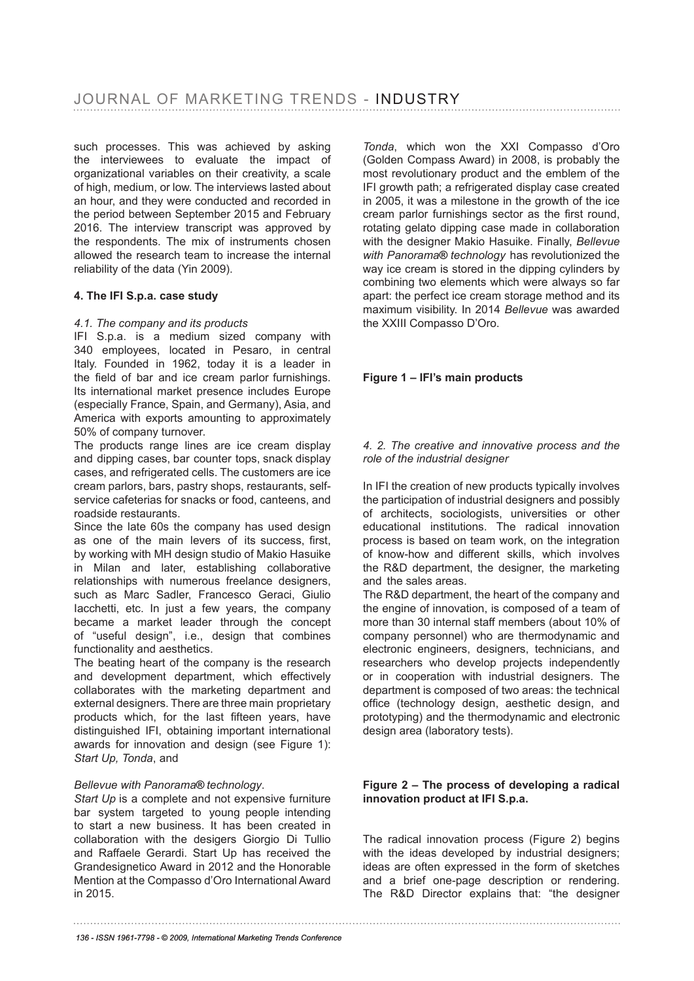such processes. This was achieved by asking the interviewees to evaluate the impact of organizational variables on their creativity, a scale of high, medium, or low. The interviews lasted about an hour, and they were conducted and recorded in the period between September 2015 and February 2016. The interview transcript was approved by the respondents. The mix of instruments chosen allowed the research team to increase the internal reliability of the data (Yin 2009).

#### **4. The IFI S.p.a. case study**

#### *4.1. The company and its products*

IFI S.p.a. is a medium sized company with 340 employees, located in Pesaro, in central Italy. Founded in 1962, today it is a leader in the field of bar and ice cream parlor furnishings. Its international market presence includes Europe (especially France, Spain, and Germany), Asia, and America with exports amounting to approximately 50% of company turnover.

The products range lines are ice cream display and dipping cases, bar counter tops, snack display cases, and refrigerated cells. The customers are ice cream parlors, bars, pastry shops, restaurants, selfservice cafeterias for snacks or food, canteens, and roadside restaurants.

Since the late 60s the company has used design as one of the main levers of its success, first, by working with MH design studio of Makio Hasuike in Milan and later, establishing collaborative relationships with numerous freelance designers, such as Marc Sadler, Francesco Geraci, Giulio Iacchetti, etc. In just a few years, the company became a market leader through the concept of "useful design", i.e., design that combines functionality and aesthetics.

The beating heart of the company is the research and development department, which effectively collaborates with the marketing department and external designers. There are three main proprietary products which, for the last ffteen years, have distinguished IFI, obtaining important international awards for innovation and design (see Figure 1): *Start Up, Tonda*, and

#### *Bellevue with Panorama***®** *technology*.

*Start Up* is a complete and not expensive furniture bar system targeted to young people intending to start a new business. It has been created in collaboration with the desigers Giorgio Di Tullio and Raffaele Gerardi. Start Up has received the Grandesignetico Award in 2012 and the Honorable Mention at the Compasso d'Oro International Award in 2015.

*Tonda*, which won the XXI Compasso d'Oro (Golden Compass Award) in 2008, is probably the most revolutionary product and the emblem of the IFI growth path; a refrigerated display case created in 2005, it was a milestone in the growth of the ice cream parlor furnishings sector as the frst round, rotating gelato dipping case made in collaboration with the designer Makio Hasuike. Finally, *Bellevue with Panorama***®** *technology* has revolutionized the way ice cream is stored in the dipping cylinders by combining two elements which were always so far apart: the perfect ice cream storage method and its maximum visibility. In 2014 *Bellevue* was awarded the XXIII Compasso D'Oro.

#### **Figure 1 – IFI's main products**

#### *4. 2. The creative and innovative process and the role of the industrial designer*

In IFI the creation of new products typically involves the participation of industrial designers and possibly of architects, sociologists, universities or other educational institutions. The radical innovation process is based on team work, on the integration of know-how and different skills, which involves the R&D department, the designer, the marketing and the sales areas.

The R&D department, the heart of the company and the engine of innovation, is composed of a team of more than 30 internal staff members (about 10% of company personnel) who are thermodynamic and electronic engineers, designers, technicians, and researchers who develop projects independently or in cooperation with industrial designers. The department is composed of two areas: the technical office (technology design, aesthetic design, and prototyping) and the thermodynamic and electronic design area (laboratory tests).

#### **Figure 2 – The process of developing a radical innovation product at IFI S.p.a.**

The radical innovation process (Figure 2) begins with the ideas developed by industrial designers; ideas are often expressed in the form of sketches and a brief one-page description or rendering. The R&D Director explains that: "the designer

*136 - ISSN 1961-7798 - © 2009, International Marketing Trends Conference*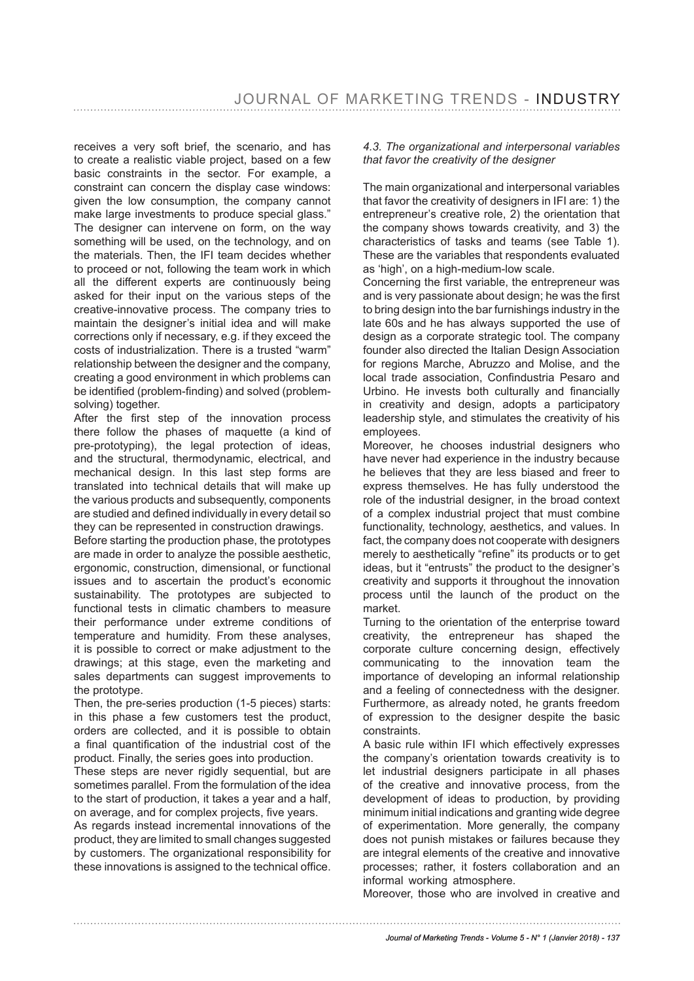receives a very soft brief, the scenario, and has to create a realistic viable project, based on a few basic constraints in the sector. For example, a constraint can concern the display case windows: given the low consumption, the company cannot make large investments to produce special glass." The designer can intervene on form, on the way something will be used, on the technology, and on the materials. Then, the IFI team decides whether to proceed or not, following the team work in which all the different experts are continuously being asked for their input on the various steps of the creative-innovative process. The company tries to maintain the designer's initial idea and will make corrections only if necessary, e.g. if they exceed the costs of industrialization. There is a trusted "warm" relationship between the designer and the company, creating a good environment in which problems can be identifed (problem-fnding) and solved (problemsolving) together.

After the first step of the innovation process there follow the phases of maquette (a kind of pre-prototyping), the legal protection of ideas, and the structural, thermodynamic, electrical, and mechanical design. In this last step forms are translated into technical details that will make up the various products and subsequently, components are studied and defned individually in every detail so they can be represented in construction drawings.

Before starting the production phase, the prototypes are made in order to analyze the possible aesthetic, ergonomic, construction, dimensional, or functional issues and to ascertain the product's economic sustainability. The prototypes are subjected to functional tests in climatic chambers to measure their performance under extreme conditions of temperature and humidity. From these analyses, it is possible to correct or make adjustment to the drawings; at this stage, even the marketing and sales departments can suggest improvements to the prototype.

Then, the pre-series production (1-5 pieces) starts: in this phase a few customers test the product, orders are collected, and it is possible to obtain a final quantification of the industrial cost of the product. Finally, the series goes into production.

These steps are never rigidly sequential, but are sometimes parallel. From the formulation of the idea to the start of production, it takes a year and a half, on average, and for complex projects, fve years.

As regards instead incremental innovations of the product, they are limited to small changes suggested by customers. The organizational responsibility for these innovations is assigned to the technical office.

#### *4.3. The organizational and interpersonal variables that favor the creativity of the designer*

The main organizational and interpersonal variables that favor the creativity of designers in IFI are: 1) the entrepreneur's creative role, 2) the orientation that the company shows towards creativity, and 3) the characteristics of tasks and teams (see Table 1). These are the variables that respondents evaluated as 'high', on a high-medium-low scale.

Concerning the frst variable, the entrepreneur was and is very passionate about design; he was the first to bring design into the bar furnishings industry in the late 60s and he has always supported the use of design as a corporate strategic tool. The company founder also directed the Italian Design Association for regions Marche, Abruzzo and Molise, and the local trade association, Confndustria Pesaro and Urbino. He invests both culturally and fnancially in creativity and design, adopts a participatory leadership style, and stimulates the creativity of his employees.

Moreover, he chooses industrial designers who have never had experience in the industry because he believes that they are less biased and freer to express themselves. He has fully understood the role of the industrial designer, in the broad context of a complex industrial project that must combine functionality, technology, aesthetics, and values. In fact, the company does not cooperate with designers merely to aesthetically "refne" its products or to get ideas, but it "entrusts" the product to the designer's creativity and supports it throughout the innovation process until the launch of the product on the market.

Turning to the orientation of the enterprise toward creativity, the entrepreneur has shaped the corporate culture concerning design, effectively communicating to the innovation team the importance of developing an informal relationship and a feeling of connectedness with the designer. Furthermore, as already noted, he grants freedom of expression to the designer despite the basic constraints.

A basic rule within IFI which effectively expresses the company's orientation towards creativity is to let industrial designers participate in all phases of the creative and innovative process, from the development of ideas to production, by providing minimum initial indications and granting wide degree of experimentation. More generally, the company does not punish mistakes or failures because they are integral elements of the creative and innovative processes; rather, it fosters collaboration and an informal working atmosphere.

Moreover, those who are involved in creative and

*Journal of Marketing Trends - Volume 5 - N° 1 (Janvier 2018) - 137*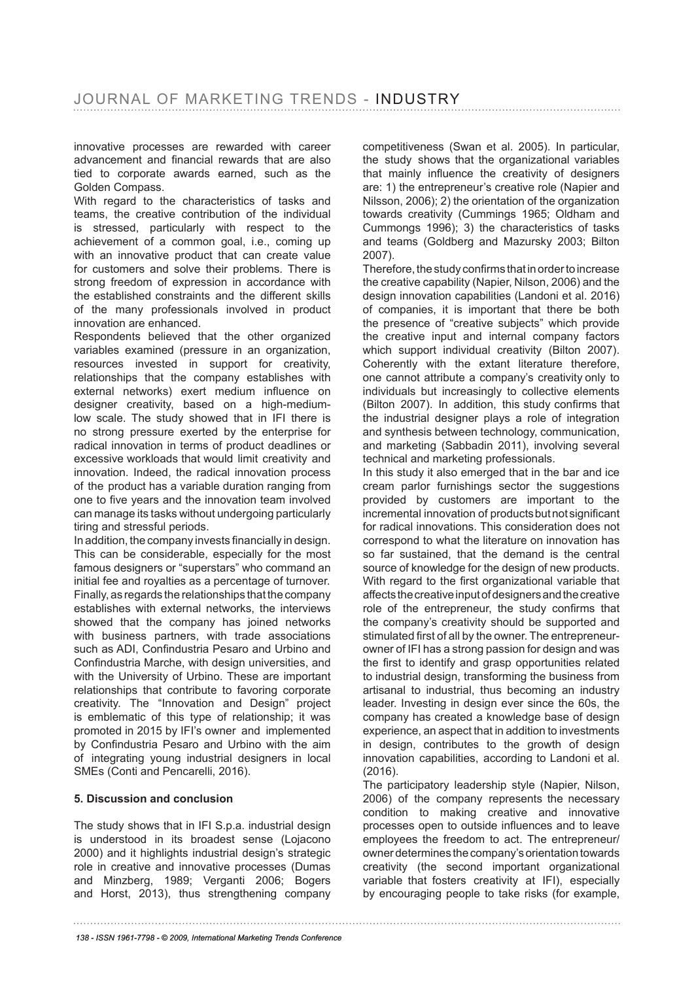innovative processes are rewarded with career advancement and fnancial rewards that are also tied to corporate awards earned, such as the Golden Compass.

With regard to the characteristics of tasks and teams, the creative contribution of the individual is stressed, particularly with respect to the achievement of a common goal, i.e., coming up with an innovative product that can create value for customers and solve their problems. There is strong freedom of expression in accordance with the established constraints and the different skills of the many professionals involved in product innovation are enhanced.

Respondents believed that the other organized variables examined (pressure in an organization, resources invested in support for creativity, relationships that the company establishes with external networks) exert medium infuence on designer creativity, based on a high-mediumlow scale. The study showed that in IFI there is no strong pressure exerted by the enterprise for radical innovation in terms of product deadlines or excessive workloads that would limit creativity and innovation. Indeed, the radical innovation process of the product has a variable duration ranging from one to five years and the innovation team involved can manage its tasks without undergoing particularly tiring and stressful periods.

In addition, the company invests fnancially in design. This can be considerable, especially for the most famous designers or "superstars" who command an initial fee and royalties as a percentage of turnover. Finally, as regards the relationships that the company establishes with external networks, the interviews showed that the company has joined networks with business partners, with trade associations such as ADI, Confndustria Pesaro and Urbino and Confndustria Marche, with design universities, and with the University of Urbino. These are important relationships that contribute to favoring corporate creativity. The "Innovation and Design" project is emblematic of this type of relationship; it was promoted in 2015 by IFI's owner and implemented by Confndustria Pesaro and Urbino with the aim of integrating young industrial designers in local SMEs (Conti and Pencarelli, 2016).

#### **5. Discussion and conclusion**

The study shows that in IFI S.p.a. industrial design is understood in its broadest sense (Lojacono 2000) and it highlights industrial design's strategic role in creative and innovative processes (Dumas and Minzberg, 1989; Verganti 2006; Bogers and Horst, 2013), thus strengthening company competitiveness (Swan et al. 2005). In particular, the study shows that the organizational variables that mainly infuence the creativity of designers are: 1) the entrepreneur's creative role (Napier and Nilsson, 2006); 2) the orientation of the organization towards creativity (Cummings 1965; Oldham and Cummongs 1996); 3) the characteristics of tasks and teams (Goldberg and Mazursky 2003; Bilton 2007).

Therefore, the study confrms that in order to increase the creative capability (Napier, Nilson, 2006) and the design innovation capabilities (Landoni et al. 2016) of companies, it is important that there be both the presence of "creative subjects" which provide the creative input and internal company factors which support individual creativity (Bilton 2007). Coherently with the extant literature therefore, one cannot attribute a company's creativity only to individuals but increasingly to collective elements (Bilton 2007). In addition, this study confrms that the industrial designer plays a role of integration and synthesis between technology, communication, and marketing (Sabbadin 2011), involving several technical and marketing professionals.

In this study it also emerged that in the bar and ice cream parlor furnishings sector the suggestions provided by customers are important to the incremental innovation of products butnot signifcant for radical innovations. This consideration does not correspond to what the literature on innovation has so far sustained, that the demand is the central source of knowledge for the design of new products. With regard to the first organizational variable that affects the creative input of designers and the creative role of the entrepreneur, the study confrms that the company's creativity should be supported and stimulated first of all by the owner. The entrepreneurowner of IFI has a strong passion for design and was the frst to identify and grasp opportunities related to industrial design, transforming the business from artisanal to industrial, thus becoming an industry leader. Investing in design ever since the 60s, the company has created a knowledge base of design experience, an aspect that in addition to investments in design, contributes to the growth of design innovation capabilities, according to Landoni et al. (2016).

The participatory leadership style (Napier, Nilson, 2006) of the company represents the necessary condition to making creative and innovative processes open to outside infuences and to leave employees the freedom to act. The entrepreneur/ owner determines the company's orientation towards creativity (the second important organizational variable that fosters creativity at IFI), especially by encouraging people to take risks (for example,

*138 - ISSN 1961-7798 - © 2009, International Marketing Trends Conference*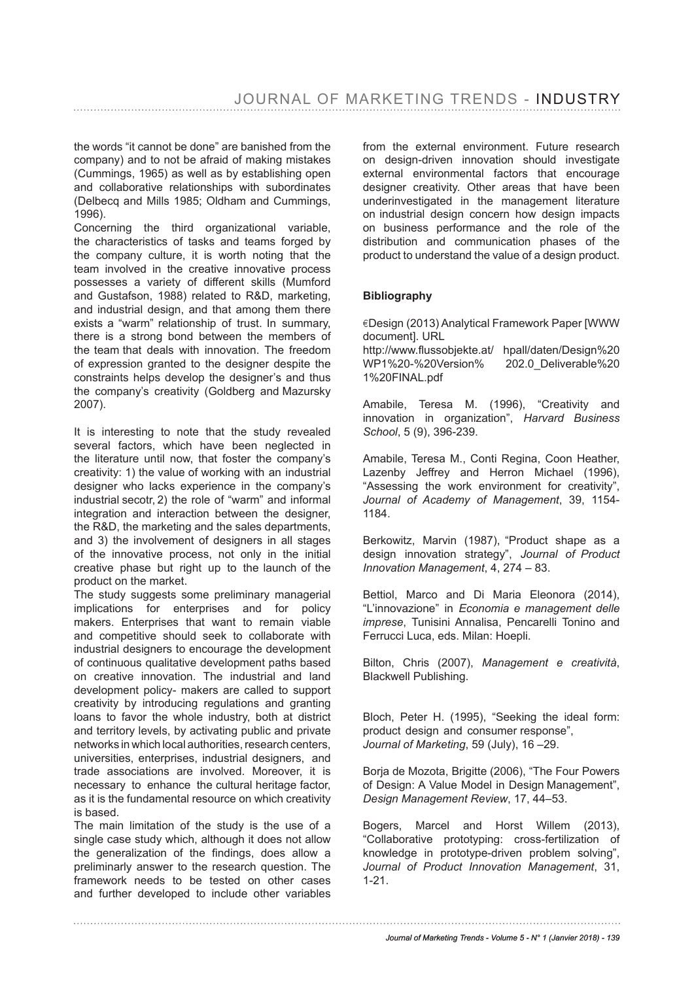the words "it cannot be done" are banished from the company) and to not be afraid of making mistakes (Cummings, 1965) as well as by establishing open and collaborative relationships with subordinates (Delbecq and Mills 1985; Oldham and Cummings, 1996).

Concerning the third organizational variable, the characteristics of tasks and teams forged by the company culture, it is worth noting that the team involved in the creative innovative process possesses a variety of different skills (Mumford and Gustafson, 1988) related to R&D, marketing, and industrial design, and that among them there exists a "warm" relationship of trust. In summary, there is a strong bond between the members of the team that deals with innovation. The freedom of expression granted to the designer despite the constraints helps develop the designer's and thus the company's creativity (Goldberg and Mazursky 2007).

It is interesting to note that the study revealed several factors, which have been neglected in the literature until now, that foster the company's creativity: 1) the value of working with an industrial designer who lacks experience in the company's industrial secotr, 2) the role of "warm" and informal integration and interaction between the designer, the R&D, the marketing and the sales departments, and 3) the involvement of designers in all stages of the innovative process, not only in the initial creative phase but right up to the launch of the product on the market.

The study suggests some preliminary managerial implications for enterprises and for policy makers. Enterprises that want to remain viable and competitive should seek to collaborate with industrial designers to encourage the development of continuous qualitative development paths based on creative innovation. The industrial and land development policy- makers are called to support creativity by introducing regulations and granting loans to favor the whole industry, both at district and territory levels, by activating public and private networks in which local authorities, research centers, universities, enterprises, industrial designers, and trade associations are involved. Moreover, it is necessary to enhance the cultural heritage factor, as it is the fundamental resource on which creativity is based.

The main limitation of the study is the use of a single case study which, although it does not allow the generalization of the fndings, does allow a preliminarly answer to the research question. The framework needs to be tested on other cases and further developed to include other variables from the external environment. Future research on design-driven innovation should investigate external environmental factors that encourage designer creativity. Other areas that have been underinvestigated in the management literature on industrial design concern how design impacts on business performance and the role of the distribution and communication phases of the product to understand the value of a design product.

#### **Bibliography**

¤Design (2013) Analytical Framework Paper [WWW document]. URL

http://www.flussobjekte.at/ hpall/daten/Design%20<br>WP1%20-%20Version% 202.0 Deliverable%20  $WP1\%20-\%20V$ ersion $\%$ 1%20FINAL.pdf

Amabile, Teresa M. (1996), "Creativity and innovation in organization", *Harvard Business School*, 5 (9), 396-239.

Amabile, Teresa M., Conti Regina, Coon Heather, Lazenby Jeffrey and Herron Michael (1996), "Assessing the work environment for creativity", *Journal of Academy of Management*, 39, 1154- 1184.

Berkowitz, Marvin (1987), "Product shape as a design innovation strategy", *Journal of Product Innovation Management*, 4, 274 – 83.

Bettiol, Marco and Di Maria Eleonora (2014), "L'innovazione" in *Economia e management delle imprese*, Tunisini Annalisa, Pencarelli Tonino and Ferrucci Luca, eds. Milan: Hoepli.

Bilton, Chris (2007), *Management e creatività*, Blackwell Publishing.

Bloch, Peter H. (1995), "Seeking the ideal form: product design and consumer response", *Journal of Marketing*, 59 (July), 16 –29.

Borja de Mozota, Brigitte (2006), "The Four Powers of Design: A Value Model in Design Management", *Design Management Review*, 17, 44–53.

Bogers, Marcel and Horst Willem (2013), "Collaborative prototyping: cross-fertilization of knowledge in prototype-driven problem solving", *Journal of Product Innovation Management*, 31, 1-21.

#### *Journal of Marketing Trends - Volume 5 - N° 1 (Janvier 2018) - 139*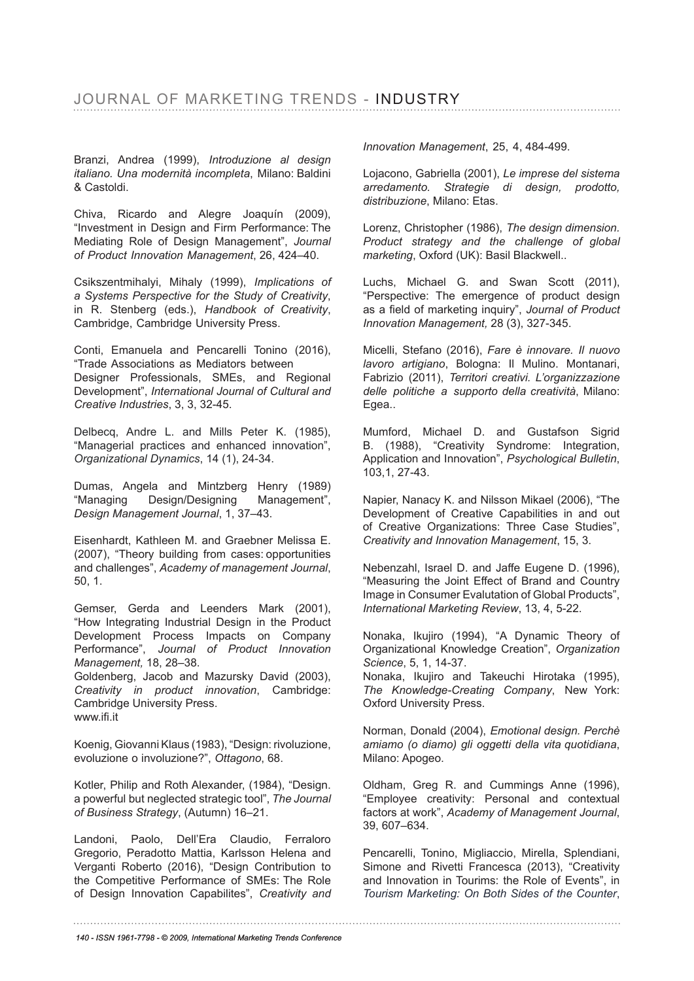Branzi, Andrea (1999), *Introduzione al design italiano. Una modernità incompleta*, Milano: Baldini & Castoldi.

Chiva, Ricardo and Alegre Joaquín (2009), "Investment in Design and Firm Performance: The Mediating Role of Design Management", *Journal of Product Innovation Management*, 26, 424–40.

Csikszentmihalyi, Mihaly (1999), *Implications of a Systems Perspective for the Study of Creativity*, in R. Stenberg (eds.), *Handbook of Creativity*, Cambridge, Cambridge University Press.

Conti, Emanuela and Pencarelli Tonino (2016), "Trade Associations as Mediators between Designer Professionals, SMEs, and Regional Development", *International Journal of Cultural and Creative Industries*, 3, 3, 32-45.

Delbecq, Andre L. and Mills Peter K. (1985), "Managerial practices and enhanced innovation", *Organizational Dynamics*, 14 (1), 24-34.

Dumas, Angela and Mintzberg Henry (1989) "Managing Design/Designing Management", *Design Management Journal*, 1, 37–43.

Eisenhardt, Kathleen M. and Graebner Melissa E. (2007), "Theory building from cases: opportunities and challenges", *Academy of management Journal*, 50, 1.

Gemser, Gerda and Leenders Mark (2001), "How Integrating Industrial Design in the Product Development Process Impacts on Company Performance", *Journal of Product Innovation Management,* 18, 28–38.

Goldenberg, Jacob and Mazursky David (2003), *Creativity in product innovation*, Cambridge: Cambridge University Press. www.ifi.it

Koenig, Giovanni Klaus (1983), "Design: rivoluzione, evoluzione o involuzione?", *Ottagono*, 68.

Kotler, Philip and Roth Alexander, (1984), "Design. a powerful but neglected strategic tool", *The Journal of Business Strategy*, (Autumn) 16–21.

Landoni, Paolo, Dell'Era Claudio, Ferraloro Gregorio, Peradotto Mattia, Karlsson Helena and Verganti Roberto (2016), "Design Contribution to the Competitive Performance of SMEs: The Role of Design Innovation Capabilites", *Creativity and* *Innovation Management*, 25, 4, 484-499.

Lojacono, Gabriella (2001), *Le imprese del sistema arredamento. Strategie di design, prodotto, distribuzione*, Milano: Etas.

Lorenz, Christopher (1986), *The design dimension. Product strategy and the challenge of global marketing*, Oxford (UK): Basil Blackwell..

Luchs, Michael G. and Swan Scott (2011), "Perspective: The emergence of product design as a feld of marketing inquiry", *Journal of Product Innovation Management,* 28 (3), 327-345.

Micelli, Stefano (2016), *Fare è innovare. Il nuovo lavoro artigiano*, Bologna: Il Mulino. Montanari, Fabrizio (2011), *Territori creativi. L'organizzazione delle politiche a supporto della creatività*, Milano: Egea..

Mumford, Michael D. and Gustafson Sigrid B. (1988), "Creativity Syndrome: Integration, Application and Innovation", *Psychological Bulletin*, 103,1, 27-43.

Napier, Nanacy K. and Nilsson Mikael (2006), "The Development of Creative Capabilities in and out of Creative Organizations: Three Case Studies", *Creativity and Innovation Management*, 15, 3.

Nebenzahl, Israel D. and Jaffe Eugene D. (1996), "Measuring the Joint Effect of Brand and Country Image in Consumer Evalutation of Global Products", *International Marketing Review*, 13, 4, 5-22.

Nonaka, Ikujiro (1994), "A Dynamic Theory of Organizational Knowledge Creation", *Organization Science*, 5, 1, 14-37.

Nonaka, Ikujiro and Takeuchi Hirotaka (1995), *The Knowledge-Creating Company*, New York: Oxford University Press.

Norman, Donald (2004), *Emotional design. Perchè amiamo (o diamo) gli oggetti della vita quotidiana*, Milano: Apogeo.

Oldham, Greg R. and Cummings Anne (1996), "Employee creativity: Personal and contextual factors at work", *Academy of Management Journal*, 39, 607–634.

Pencarelli, Tonino, Migliaccio, Mirella, Splendiani, Simone and Rivetti Francesca (2013), "Creativity and Innovation in Tourims: the Role of Events", in *Tourism Marketing: On Both Sides of the Counter*,

*140 - ISSN 1961-7798 - © 2009, International Marketing Trends Conference*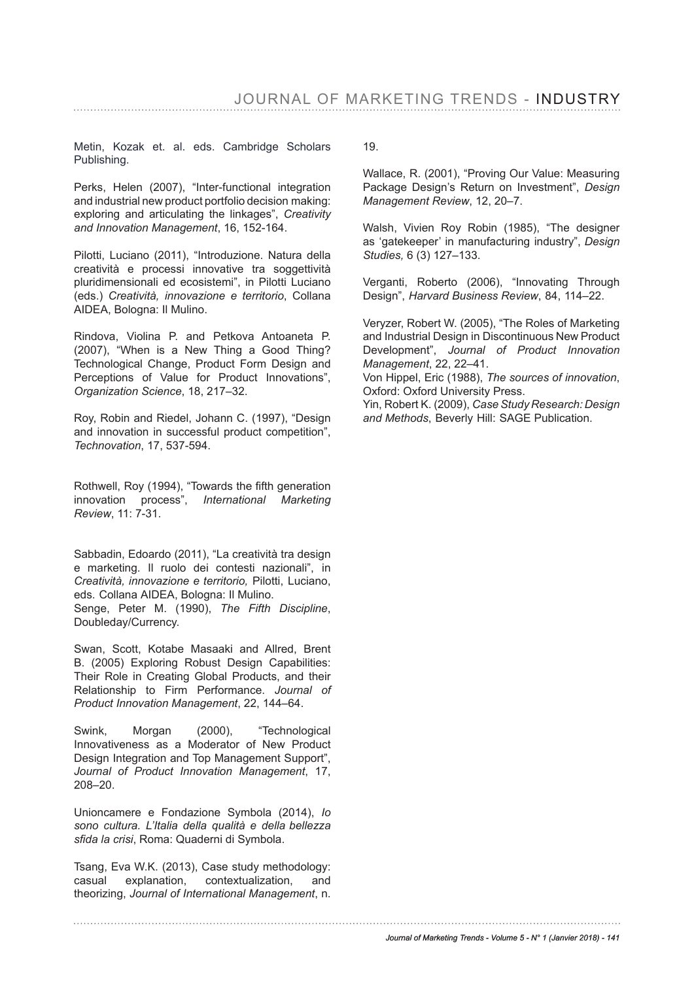Metin, Kozak et. al. eds. Cambridge Scholars Publishing.

Perks, Helen (2007), "Inter-functional integration and industrial new product portfolio decision making: exploring and articulating the linkages", *Creativity and Innovation Management*, 16, 152-164.

Pilotti, Luciano (2011), "Introduzione. Natura della creatività e processi innovative tra soggettività pluridimensionali ed ecosistemi", in Pilotti Luciano (eds.) *Creatività, innovazione e territorio*, Collana AIDEA, Bologna: Il Mulino.

Rindova, Violina P. and Petkova Antoaneta P. (2007), "When is a New Thing a Good Thing? Technological Change, Product Form Design and Perceptions of Value for Product Innovations", *Organization Science*, 18, 217–32.

Roy, Robin and Riedel, Johann C. (1997), "Design and innovation in successful product competition", *Technovation*, 17, 537-594.

Rothwell, Roy (1994), "Towards the ffth generation innovation process", *International Marketing Review*, 11: 7-31.

Sabbadin, Edoardo (2011), "La creatività tra design e marketing. Il ruolo dei contesti nazionali", in *Creatività, innovazione e territorio,* Pilotti, Luciano, eds. Collana AIDEA, Bologna: Il Mulino. Senge, Peter M. (1990), *The Fifth Discipline*, Doubleday/Currency.

Swan, Scott, Kotabe Masaaki and Allred, Brent B. (2005) Exploring Robust Design Capabilities: Their Role in Creating Global Products, and their Relationship to Firm Performance. *Journal of Product Innovation Management*, 22, 144–64.

Swink, Morgan (2000), "Technological Innovativeness as a Moderator of New Product Design Integration and Top Management Support", *Journal of Product Innovation Management*, 17, 208–20.

Unioncamere e Fondazione Symbola (2014), *Io sono cultura. L'Italia della qualità e della bellezza sfda la crisi*, Roma: Quaderni di Symbola.

Tsang, Eva W.K. (2013), Case study methodology: casual explanation, contextualization, and theorizing, *Journal of International Management*, n. 19.

Wallace, R. (2001), "Proving Our Value: Measuring Package Design's Return on Investment", *Design Management Review*, 12, 20–7.

Walsh, Vivien Roy Robin (1985), "The designer as 'gatekeeper' in manufacturing industry", *Design Studies,* 6 (3) 127–133.

Verganti, Roberto (2006), "Innovating Through Design", *Harvard Business Review*, 84, 114–22.

Veryzer, Robert W. (2005), "The Roles of Marketing and Industrial Design in Discontinuous New Product Development", *Journal of Product Innovation Management*, 22, 22–41.

Von Hippel, Eric (1988), *The sources of innovation*, Oxford: Oxford University Press.

Yin, Robert K. (2009), *Case Study Research: Design and Methods*, Beverly Hill: SAGE Publication.

*Journal of Marketing Trends - Volume 5 - N° 1 (Janvier 2018) - 141*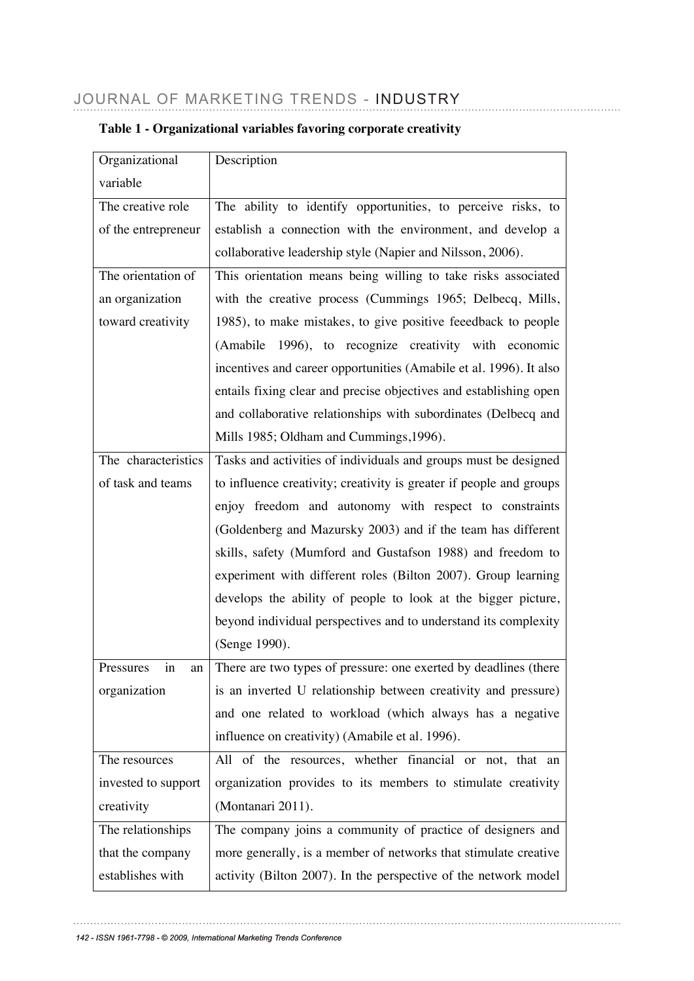| Organizational      | Description                                                         |  |  |  |  |  |
|---------------------|---------------------------------------------------------------------|--|--|--|--|--|
| variable            |                                                                     |  |  |  |  |  |
| The creative role   | The ability to identify opportunities, to perceive risks, to        |  |  |  |  |  |
| of the entrepreneur | establish a connection with the environment, and develop a          |  |  |  |  |  |
|                     | collaborative leadership style (Napier and Nilsson, 2006).          |  |  |  |  |  |
| The orientation of  | This orientation means being willing to take risks associated       |  |  |  |  |  |
| an organization     | with the creative process (Cummings 1965; Delbecq, Mills,           |  |  |  |  |  |
| toward creativity   | 1985), to make mistakes, to give positive feeedback to people       |  |  |  |  |  |
|                     | (Amabile 1996), to recognize creativity with economic               |  |  |  |  |  |
|                     | incentives and career opportunities (Amabile et al. 1996). It also  |  |  |  |  |  |
|                     | entails fixing clear and precise objectives and establishing open   |  |  |  |  |  |
|                     | and collaborative relationships with subordinates (Delbecq and      |  |  |  |  |  |
|                     | Mills 1985; Oldham and Cummings, 1996).                             |  |  |  |  |  |
| The characteristics | Tasks and activities of individuals and groups must be designed     |  |  |  |  |  |
| of task and teams   | to influence creativity; creativity is greater if people and groups |  |  |  |  |  |
|                     | enjoy freedom and autonomy with respect to constraints              |  |  |  |  |  |
|                     | (Goldenberg and Mazursky 2003) and if the team has different        |  |  |  |  |  |
|                     | skills, safety (Mumford and Gustafson 1988) and freedom to          |  |  |  |  |  |
|                     | experiment with different roles (Bilton 2007). Group learning       |  |  |  |  |  |
|                     | develops the ability of people to look at the bigger picture,       |  |  |  |  |  |
|                     | beyond individual perspectives and to understand its complexity     |  |  |  |  |  |
|                     | (Senge 1990).                                                       |  |  |  |  |  |
| Pressures in an     | There are two types of pressure: one exerted by deadlines (there    |  |  |  |  |  |
| organization        | is an inverted U relationship between creativity and pressure)      |  |  |  |  |  |
|                     | and one related to workload (which always has a negative            |  |  |  |  |  |
|                     | influence on creativity) (Amabile et al. 1996).                     |  |  |  |  |  |
| The resources       | All of the resources, whether financial or not, that an             |  |  |  |  |  |
| invested to support | organization provides to its members to stimulate creativity        |  |  |  |  |  |
| creativity          | (Montanari 2011).                                                   |  |  |  |  |  |
| The relationships   | The company joins a community of practice of designers and          |  |  |  |  |  |
| that the company    | more generally, is a member of networks that stimulate creative     |  |  |  |  |  |
| establishes with    | activity (Bilton 2007). In the perspective of the network model     |  |  |  |  |  |

# **Table 1 - Organizational variables favoring corporate creativity**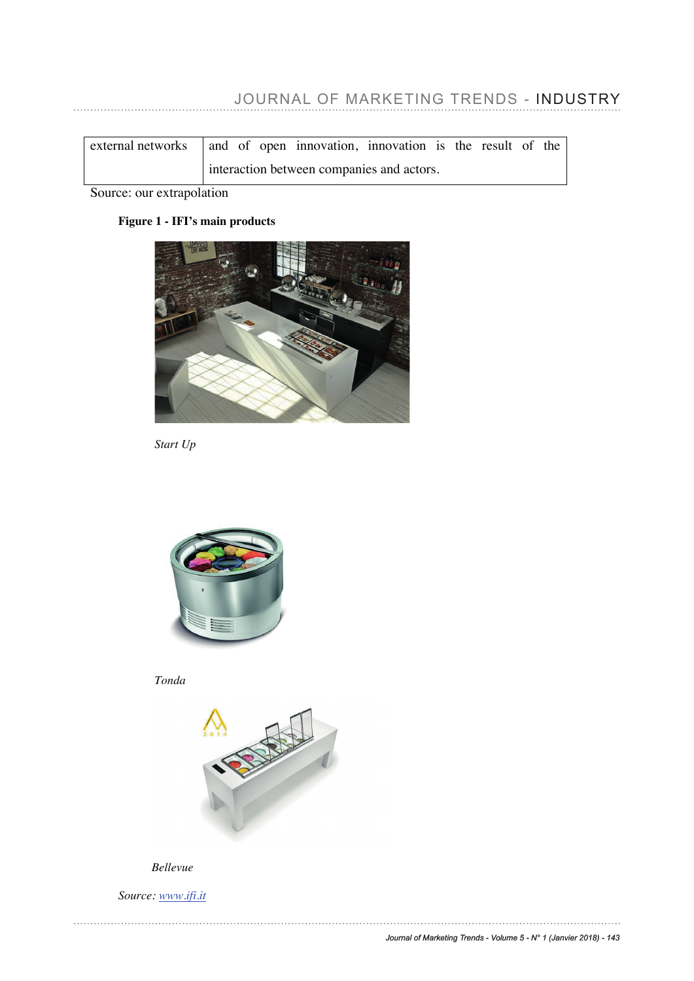# JOURNAL OF MARKETING TRENDS - INDUSTRY

| $\vert$ external networks $\vert$ and of open innovation, innovation is the result of the |                                           |  |  |  |  |  |  |  |  |
|-------------------------------------------------------------------------------------------|-------------------------------------------|--|--|--|--|--|--|--|--|
|                                                                                           | interaction between companies and actors. |  |  |  |  |  |  |  |  |

Source: our extrapolation

# **Figure 1 - IFI's main products**



*Start Up* 



*Tonda*



#### *Bellevue*

*Source: www.ifi.it*

. . . . . . . . . . . . .